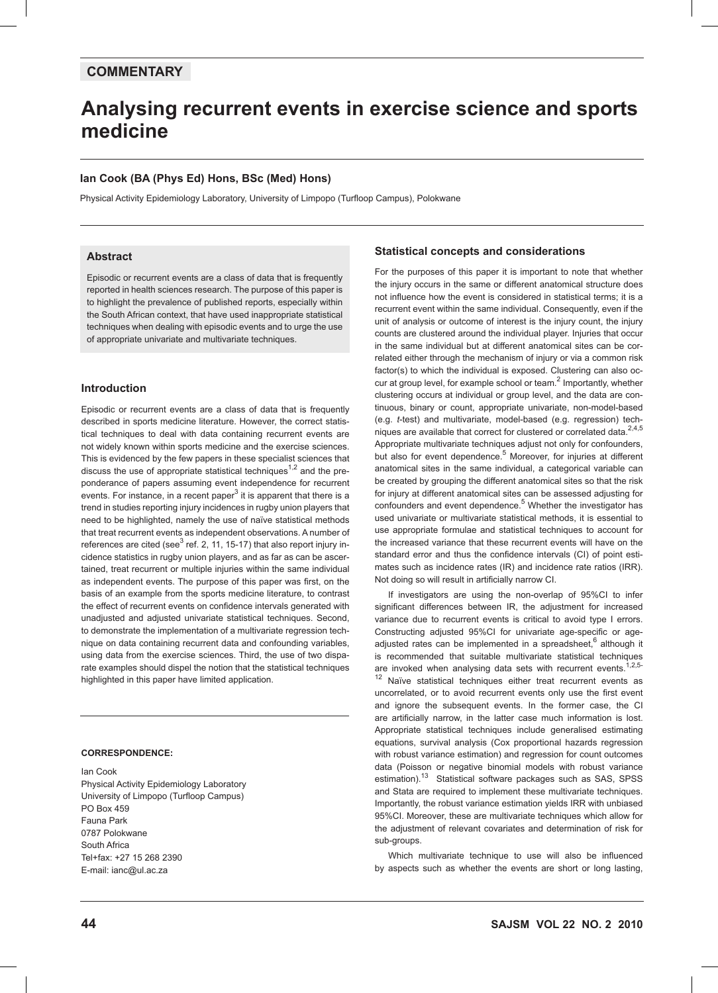# **COMMENTARY**

# **Analysing recurrent events in exercise science and sports medicine**

## **Ian Cook (BA (Phys Ed) Hons, BSc (Med) Hons)**

Physical Activity Epidemiology Laboratory, University of Limpopo (Turfloop Campus), Polokwane

## **Abstract**

Episodic or recurrent events are a class of data that is frequently reported in health sciences research. The purpose of this paper is to highlight the prevalence of published reports, especially within the South African context, that have used inappropriate statistical techniques when dealing with episodic events and to urge the use of appropriate univariate and multivariate techniques.

## **Introduction**

Episodic or recurrent events are a class of data that is frequently described in sports medicine literature. However, the correct statistical techniques to deal with data containing recurrent events are not widely known within sports medicine and the exercise sciences. This is evidenced by the few papers in these specialist sciences that discuss the use of appropriate statistical techniques<sup>1,2</sup> and the preponderance of papers assuming event independence for recurrent events. For instance, in a recent paper<sup>3</sup> it is apparent that there is a trend in studies reporting injury incidences in rugby union players that need to be highlighted, namely the use of naïve statistical methods that treat recurrent events as independent observations. A number of references are cited (see<sup>3</sup> ref. 2, 11, 15-17) that also report injury incidence statistics in rugby union players, and as far as can be ascertained, treat recurrent or multiple injuries within the same individual as independent events. The purpose of this paper was first, on the basis of an example from the sports medicine literature, to contrast the effect of recurrent events on confidence intervals generated with unadjusted and adjusted univariate statistical techniques. Second, to demonstrate the implementation of a multivariate regression technique on data containing recurrent data and confounding variables, using data from the exercise sciences. Third, the use of two disparate examples should dispel the notion that the statistical techniques highlighted in this paper have limited application.

## **CORRESPONDENCE:**

Ian Cook Physical Activity Epidemiology Laboratory University of Limpopo (Turfloop Campus) PO Box 459 Fauna Park 0787 Polokwane South Africa Tel+fax: +27 15 268 2390 E-mail: ianc@ul.ac.za

## **Statistical concepts and considerations**

For the purposes of this paper it is important to note that whether the injury occurs in the same or different anatomical structure does not influence how the event is considered in statistical terms; it is a recurrent event within the same individual. Consequently, even if the unit of analysis or outcome of interest is the injury count, the injury counts are clustered around the individual player. Injuries that occur in the same individual but at different anatomical sites can be correlated either through the mechanism of injury or via a common risk factor(s) to which the individual is exposed. Clustering can also occur at group level, for example school or team.<sup>2</sup> Importantly, whether clustering occurs at individual or group level, and the data are continuous, binary or count, appropriate univariate, non-model-based (e.g. *t*-test) and multivariate, model-based (e.g. regression) techniques are available that correct for clustered or correlated data. $2,4,5$ Appropriate multivariate techniques adjust not only for confounders, but also for event dependence.<sup>5</sup> Moreover, for injuries at different anatomical sites in the same individual, a categorical variable can be created by grouping the different anatomical sites so that the risk for injury at different anatomical sites can be assessed adjusting for confounders and event dependence.<sup>5</sup> Whether the investigator has used univariate or multivariate statistical methods, it is essential to use appropriate formulae and statistical techniques to account for the increased variance that these recurrent events will have on the standard error and thus the confidence intervals (CI) of point estimates such as incidence rates (IR) and incidence rate ratios (IRR). Not doing so will result in artificially narrow CI.

If investigators are using the non-overlap of 95%CI to infer significant differences between IR, the adjustment for increased variance due to recurrent events is critical to avoid type I errors. Constructing adjusted 95%CI for univariate age-specific or ageadjusted rates can be implemented in a spreadsheet, <sup>6</sup> although it is recommended that suitable multivariate statistical techniques are invoked when analysing data sets with recurrent events. $1,2,5 12$  Naïve statistical techniques either treat recurrent events as uncorrelated, or to avoid recurrent events only use the first event and ignore the subsequent events. In the former case, the CI are artificially narrow, in the latter case much information is lost. Appropriate statistical techniques include generalised estimating equations, survival analysis (Cox proportional hazards regression with robust variance estimation) and regression for count outcomes data (Poisson or negative binomial models with robust variance estimation).<sup>13</sup> Statistical software packages such as SAS, SPSS and Stata are required to implement these multivariate techniques. Importantly, the robust variance estimation yields IRR with unbiased 95%CI. Moreover, these are multivariate techniques which allow for the adjustment of relevant covariates and determination of risk for sub-groups.

Which multivariate technique to use will also be influenced by aspects such as whether the events are short or long lasting,